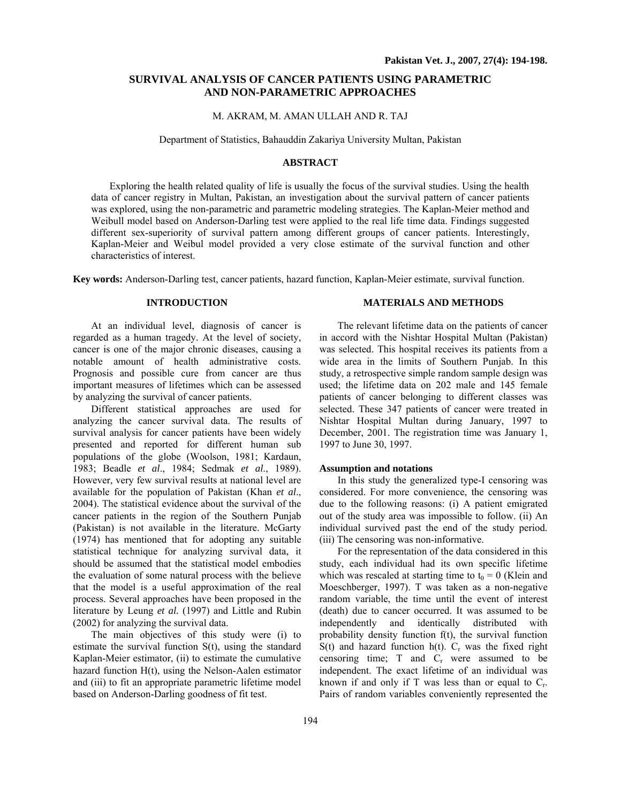# **SURVIVAL ANALYSIS OF CANCER PATIENTS USING PARAMETRIC AND NON-PARAMETRIC APPROACHES**

## M. AKRAM, M. AMAN ULLAH AND R. TAJ

### Department of Statistics, Bahauddin Zakariya University Multan, Pakistan

### **ABSTRACT**

Exploring the health related quality of life is usually the focus of the survival studies. Using the health data of cancer registry in Multan, Pakistan, an investigation about the survival pattern of cancer patients was explored, using the non-parametric and parametric modeling strategies. The Kaplan-Meier method and Weibull model based on Anderson-Darling test were applied to the real life time data. Findings suggested different sex-superiority of survival pattern among different groups of cancer patients. Interestingly, Kaplan-Meier and Weibul model provided a very close estimate of the survival function and other characteristics of interest.

**Key words:** Anderson-Darling test, cancer patients, hazard function, Kaplan-Meier estimate, survival function.

## **INTRODUCTION**

At an individual level, diagnosis of cancer is regarded as a human tragedy. At the level of society, cancer is one of the major chronic diseases, causing a notable amount of health administrative costs. Prognosis and possible cure from cancer are thus important measures of lifetimes which can be assessed by analyzing the survival of cancer patients.

Different statistical approaches are used for analyzing the cancer survival data. The results of survival analysis for cancer patients have been widely presented and reported for different human sub populations of the globe (Woolson, 1981; Kardaun, 1983; Beadle *et al*., 1984; Sedmak *et al*., 1989). However, very few survival results at national level are available for the population of Pakistan (Khan *et al*., 2004). The statistical evidence about the survival of the cancer patients in the region of the Southern Punjab (Pakistan) is not available in the literature. McGarty (1974) has mentioned that for adopting any suitable statistical technique for analyzing survival data, it should be assumed that the statistical model embodies the evaluation of some natural process with the believe that the model is a useful approximation of the real process. Several approaches have been proposed in the literature by Leung *et al.* (1997) and Little and Rubin (2002) for analyzing the survival data.

The main objectives of this study were (i) to estimate the survival function S(t), using the standard Kaplan-Meier estimator, (ii) to estimate the cumulative hazard function H(t), using the Nelson-Aalen estimator and (iii) to fit an appropriate parametric lifetime model based on Anderson-Darling goodness of fit test.

## **MATERIALS AND METHODS**

The relevant lifetime data on the patients of cancer in accord with the Nishtar Hospital Multan (Pakistan) was selected. This hospital receives its patients from a wide area in the limits of Southern Punjab. In this study, a retrospective simple random sample design was used; the lifetime data on 202 male and 145 female patients of cancer belonging to different classes was selected. These 347 patients of cancer were treated in Nishtar Hospital Multan during January, 1997 to December, 2001. The registration time was January 1, 1997 to June 30, 1997.

#### **Assumption and notations**

In this study the generalized type-I censoring was considered. For more convenience, the censoring was due to the following reasons: (i) A patient emigrated out of the study area was impossible to follow. (ii) An individual survived past the end of the study period. (iii) The censoring was non-informative.

For the representation of the data considered in this study, each individual had its own specific lifetime which was rescaled at starting time to  $t_0 = 0$  (Klein and Moeschberger, 1997). T was taken as a non-negative random variable, the time until the event of interest (death) due to cancer occurred. It was assumed to be independently and identically distributed with probability density function f(t), the survival function  $S(t)$  and hazard function h(t).  $C_r$  was the fixed right censoring time;  $T$  and  $C_r$  were assumed to be independent. The exact lifetime of an individual was known if and only if T was less than or equal to  $C_r$ . Pairs of random variables conveniently represented the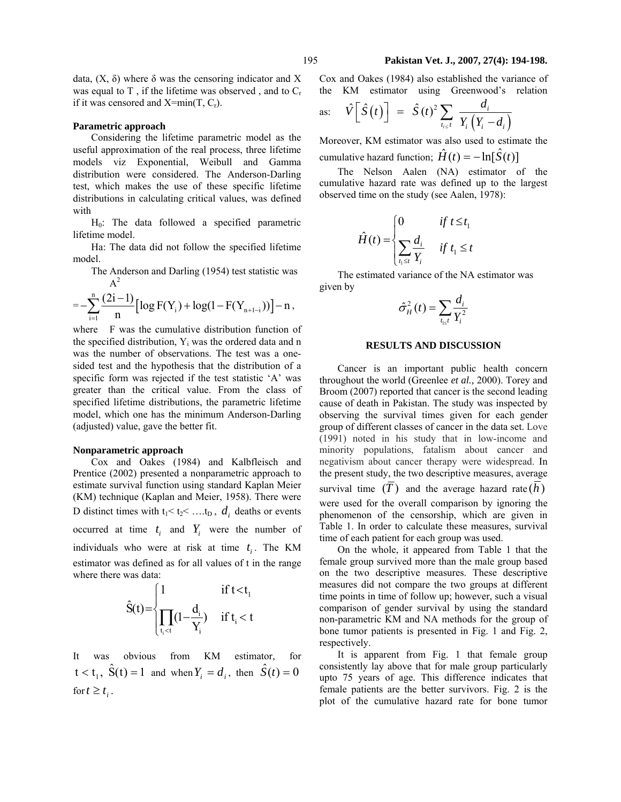data,  $(X, δ)$  where δ was the censoring indicator and X was equal to  $T$ , if the lifetime was observed, and to  $C_r$ if it was censored and  $X=min(T, C<sub>r</sub>)$ .

### **Parametric approach**

Considering the lifetime parametric model as the useful approximation of the real process, three lifetime models viz Exponential, Weibull and Gamma distribution were considered. The Anderson-Darling test, which makes the use of these specific lifetime distributions in calculating critical values, was defined with

 $H<sub>0</sub>$ : The data followed a specified parametric lifetime model.

Ha: The data did not follow the specified lifetime model.

The Anderson and Darling (1954) test statistic was  $A<sup>2</sup>$ 

$$
=-\sum_{i=1}^{n}\frac{(2i-1)}{n}\Big[\log F(Y_i)+\log(1-F(Y_{n+1-i}))\Big]-n\,,
$$

where F was the cumulative distribution function of the specified distribution,  $Y_i$  was the ordered data and n was the number of observations. The test was a onesided test and the hypothesis that the distribution of a specific form was rejected if the test statistic 'A' was greater than the critical value. From the class of specified lifetime distributions, the parametric lifetime model, which one has the minimum Anderson-Darling (adjusted) value, gave the better fit.

#### **Nonparametric approach**

Cox and Oakes (1984) and Kalbfleisch and Prentice (2002) presented a nonparametric approach to estimate survival function using standard Kaplan Meier (KM) technique (Kaplan and Meier, 1958). There were D distinct times with  $t_1 < t_2 < ... t_D$ ,  $d_i$  deaths or events occurred at time  $t_i$  and  $Y_i$  were the number of individuals who were at risk at time  $t_i$ . The KM estimator was defined as for all values of t in the range where there was data:

$$
\hat{S}(t) = \begin{cases} 1 & \text{if } t < t_1 \\ \prod_{t_i < t} \left(1 - \frac{d_i}{Y_i}\right) & \text{if } t_i < t \end{cases}
$$

It was obvious from KM estimator, for  $1 < t_1$ ,  $\hat{S}(t) = 1$  and when  $Y_i = d_i$ , then  $\hat{S}(t) = 0$ for  $t \geq t_i$ .

Cox and Oakes (1984) also established the variance of the KM estimator using Greenwood's relation

as: 
$$
\hat{V} \left[ \hat{S}(t) \right] = \hat{S}(t)^2 \sum_{t_{i} \leq t} \frac{d_i}{Y_i \left( Y_i - d_i \right)}
$$

Moreover, KM estimator was also used to estimate the cumulative hazard function;  $\hat{H}(t) = -\ln[\hat{S}(t)]$ 

The Nelson Aalen (NA) estimator of the cumulative hazard rate was defined up to the largest observed time on the study (see Aalen, 1978):

$$
\hat{H}(t) = \begin{cases}\n0 & \text{if } t \le t_1 \\
\sum_{t_1 \le t} \frac{d_i}{Y_i} & \text{if } t_1 \le t\n\end{cases}
$$

The estimated variance of the NA estimator was given by

$$
\hat{\sigma}_H^2(t) = \sum_{t_{\rm l}t} \frac{d_i}{Y_i^2}
$$

### **RESULTS AND DISCUSSION**

Cancer is an important public health concern throughout the world (Greenlee *et al.,* 2000). Torey and Broom (2007) reported that cancer is the second leading cause of death in Pakistan. The study was inspected by observing the survival times given for each gender group of different classes of cancer in the data set. Love (1991) noted in his study that in low-income and minority populations, fatalism about cancer and negativism about cancer therapy were widespread. In the present study, the two descriptive measures, average survival time  $(T)$  and the average hazard rate  $(h)$ were used for the overall comparison by ignoring the phenomenon of the censorship, which are given in Table 1. In order to calculate these measures, survival time of each patient for each group was used.

On the whole, it appeared from Table 1 that the female group survived more than the male group based on the two descriptive measures. These descriptive measures did not compare the two groups at different time points in time of follow up; however, such a visual comparison of gender survival by using the standard non-parametric KM and NA methods for the group of bone tumor patients is presented in Fig. 1 and Fig. 2, respectively.

It is apparent from Fig. 1 that female group consistently lay above that for male group particularly upto 75 years of age. This difference indicates that female patients are the better survivors. Fig. 2 is the plot of the cumulative hazard rate for bone tumor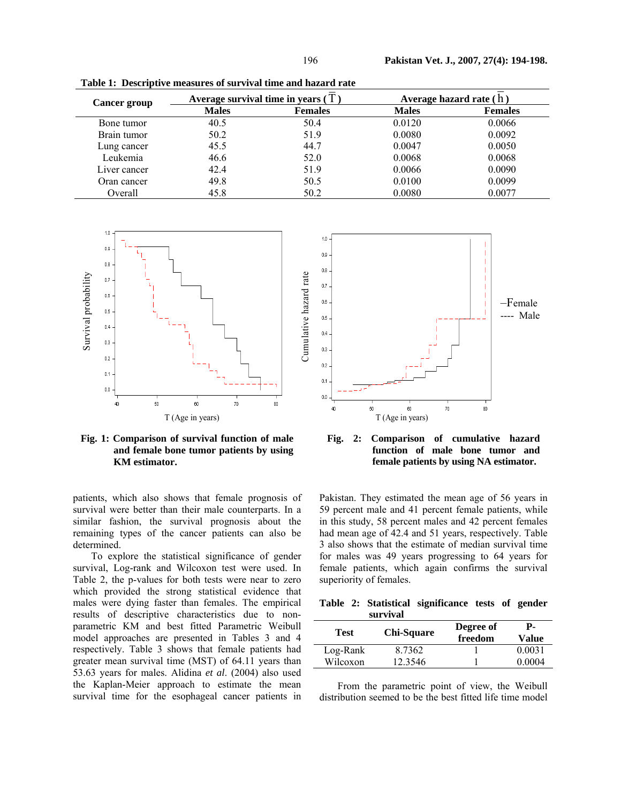| <b>Cancer group</b> |              | Average survival time in years $(T)$ | Average hazard rate (h) |                |  |  |
|---------------------|--------------|--------------------------------------|-------------------------|----------------|--|--|
|                     | <b>Males</b> | <b>Females</b>                       | <b>Males</b>            | <b>Females</b> |  |  |
| Bone tumor          | 40.5         | 50.4                                 | 0.0120                  | 0.0066         |  |  |
| Brain tumor         | 50.2         | 51.9                                 | 0.0080                  | 0.0092         |  |  |
| Lung cancer         | 45.5         | 44.7                                 | 0.0047                  | 0.0050         |  |  |
| Leukemia            | 46.6         | 52.0                                 | 0.0068                  | 0.0068         |  |  |
| Liver cancer        | 42.4         | 51.9                                 | 0.0066                  | 0.0090         |  |  |
| Oran cancer         | 49.8         | 50.5                                 | 0.0100                  | 0.0099         |  |  |
| Overall             | 45.8         | 50.2                                 | 0.0080                  | 0.0077         |  |  |

**Table 1: Descriptive measures of survival time and hazard rate** 



**Fig. 1: Comparison of survival function of male and female bone tumor patients by using KM estimator.** 

patients, which also shows that female prognosis of survival were better than their male counterparts. In a similar fashion, the survival prognosis about the remaining types of the cancer patients can also be determined.

To explore the statistical significance of gender survival, Log-rank and Wilcoxon test were used. In Table 2, the p-values for both tests were near to zero which provided the strong statistical evidence that males were dying faster than females. The empirical results of descriptive characteristics due to nonparametric KM and best fitted Parametric Weibull model approaches are presented in Tables 3 and 4 respectively. Table 3 shows that female patients had greater mean survival time (MST) of 64.11 years than 53.63 years for males. Alidina *et al*. (2004) also used the Kaplan-Meier approach to estimate the mean survival time for the esophageal cancer patients in



**Fig. 2: Comparison of cumulative hazard function of male bone tumor and female patients by using NA estimator.** 

Pakistan. They estimated the mean age of 56 years in 59 percent male and 41 percent female patients, while in this study, 58 percent males and 42 percent females had mean age of 42.4 and 51 years, respectively. Table 3 also shows that the estimate of median survival time for males was 49 years progressing to 64 years for female patients, which again confirms the survival superiority of females.

**Table 2: Statistical significance tests of gender survival** 

|                      | <u>waa 111 Mi</u> |                      |                  |  |
|----------------------|-------------------|----------------------|------------------|--|
| <b>Test</b>          | <b>Chi-Square</b> | Degree of<br>freedom | Р-<br>Value      |  |
| Log-Rank<br>Wilcoxon | 8.7362<br>12.3546 |                      | 0.0031<br>0.0004 |  |
|                      |                   |                      |                  |  |

From the parametric point of view, the Weibull distribution seemed to be the best fitted life time model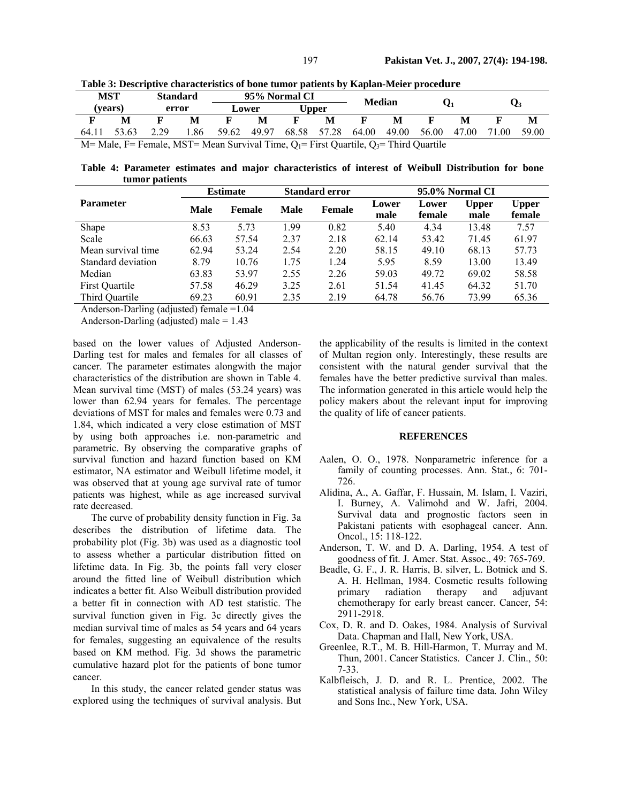|                                                                                                 | MST     | <b>Standard</b> |      | 95% Normal CI |       | <b>Median</b> |       |       |       |       |                |       |       |
|-------------------------------------------------------------------------------------------------|---------|-----------------|------|---------------|-------|---------------|-------|-------|-------|-------|----------------|-------|-------|
|                                                                                                 | (vears) | Lower<br>error  |      | <b>Upper</b>  |       |               |       |       |       |       | $\mathbf{Q}_3$ |       |       |
|                                                                                                 | M       |                 |      |               | M     |               | M     |       | M     |       | M              |       | M     |
| 64.11                                                                                           | 53.63   | 2.29            | ' 86 | 59.62         | 49.97 | 68.58         | 57.28 | 64.00 | 49.00 | 56.00 | 47.00          | 71.00 | 59.00 |
| $M=$ Male, F = Female, MST = Mean Survival Time, $Q_1$ = First Quartile, $Q_3$ = Third Quartile |         |                 |      |               |       |               |       |       |       |       |                |       |       |

**Table 3: Descriptive characteristics of bone tumor patients by Kaplan-Meier procedure** 

**Table 4: Parameter estimates and major characteristics of interest of Weibull Distribution for bone tumor patients** 

|                    | <b>Estimate</b> |        | <b>Standard error</b> |        | 95.0% Normal CI |                 |                      |                        |  |
|--------------------|-----------------|--------|-----------------------|--------|-----------------|-----------------|----------------------|------------------------|--|
| <b>Parameter</b>   | Male            | Female | <b>Male</b>           | Female | Lower<br>male   | Lower<br>female | <b>Upper</b><br>male | <b>Upper</b><br>female |  |
| Shape              | 8.53            | 5.73   | 1.99                  | 0.82   | 5.40            | 4.34            | 13.48                | 7.57                   |  |
| Scale              | 66.63           | 57.54  | 2.37                  | 2.18   | 62.14           | 53.42           | 71.45                | 61.97                  |  |
| Mean survival time | 62.94           | 53.24  | 2.54                  | 2.20   | 58.15           | 49.10           | 68.13                | 57.73                  |  |
| Standard deviation | 8.79            | 10.76  | 1.75                  | 1.24   | 5.95            | 8.59            | 13.00                | 13.49                  |  |
| Median             | 63.83           | 53.97  | 2.55                  | 2.26   | 59.03           | 49.72           | 69.02                | 58.58                  |  |
| First Quartile     | 57.58           | 46.29  | 3.25                  | 2.61   | 51.54           | 41.45           | 64.32                | 51.70                  |  |
| Third Quartile     | 69.23           | 60.91  | 2.35                  | 2.19   | 64.78           | 56.76           | 73.99                | 65.36                  |  |

Anderson-Darling (adjusted) female =1.04

Anderson-Darling (adjusted) male  $= 1.43$ 

based on the lower values of Adjusted Anderson-Darling test for males and females for all classes of cancer. The parameter estimates alongwith the major characteristics of the distribution are shown in Table 4. Mean survival time (MST) of males (53.24 years) was lower than 62.94 years for females. The percentage deviations of MST for males and females were 0.73 and 1.84, which indicated a very close estimation of MST by using both approaches i.e. non-parametric and parametric. By observing the comparative graphs of survival function and hazard function based on KM estimator, NA estimator and Weibull lifetime model, it was observed that at young age survival rate of tumor patients was highest, while as age increased survival rate decreased.

The curve of probability density function in Fig. 3a describes the distribution of lifetime data. The probability plot (Fig. 3b) was used as a diagnostic tool to assess whether a particular distribution fitted on lifetime data. In Fig. 3b, the points fall very closer around the fitted line of Weibull distribution which indicates a better fit. Also Weibull distribution provided a better fit in connection with AD test statistic. The survival function given in Fig. 3c directly gives the median survival time of males as 54 years and 64 years for females, suggesting an equivalence of the results based on KM method. Fig. 3d shows the parametric cumulative hazard plot for the patients of bone tumor cancer.

In this study, the cancer related gender status was explored using the techniques of survival analysis. But the applicability of the results is limited in the context of Multan region only. Interestingly, these results are consistent with the natural gender survival that the females have the better predictive survival than males. The information generated in this article would help the policy makers about the relevant input for improving the quality of life of cancer patients.

#### **REFERENCES**

- Aalen, O. O., 1978. Nonparametric inference for a family of counting processes. Ann. Stat., 6: 701- 726.
- Alidina, A., A. Gaffar, F. Hussain, M. Islam, I. Vaziri, I. Burney, A. Valimohd and W. Jafri, 2004. Survival data and prognostic factors seen in Pakistani patients with esophageal cancer. Ann. Oncol., 15: 118-122.
- Anderson, T. W. and D. A. Darling, 1954. A test of goodness of fit. J. Amer. Stat. Assoc., 49: 765-769.
- Beadle, G. F., J. R. Harris, B. silver, L. Botnick and S. A. H. Hellman, 1984. Cosmetic results following primary radiation therapy and adjuvant chemotherapy for early breast cancer. Cancer*,* 54: 2911-2918.
- Cox, D. R. and D. Oakes, 1984. Analysis of Survival Data. Chapman and Hall, New York, USA.
- Greenlee, R.T., M. B. Hill-Harmon, T. Murray and M. Thun, 2001. Cancer Statistics. Cancer J. Clin., 50: 7-33.
- Kalbfleisch, J. D. and R. L. Prentice, 2002. The statistical analysis of failure time data*.* John Wiley and Sons Inc*.*, New York, USA.